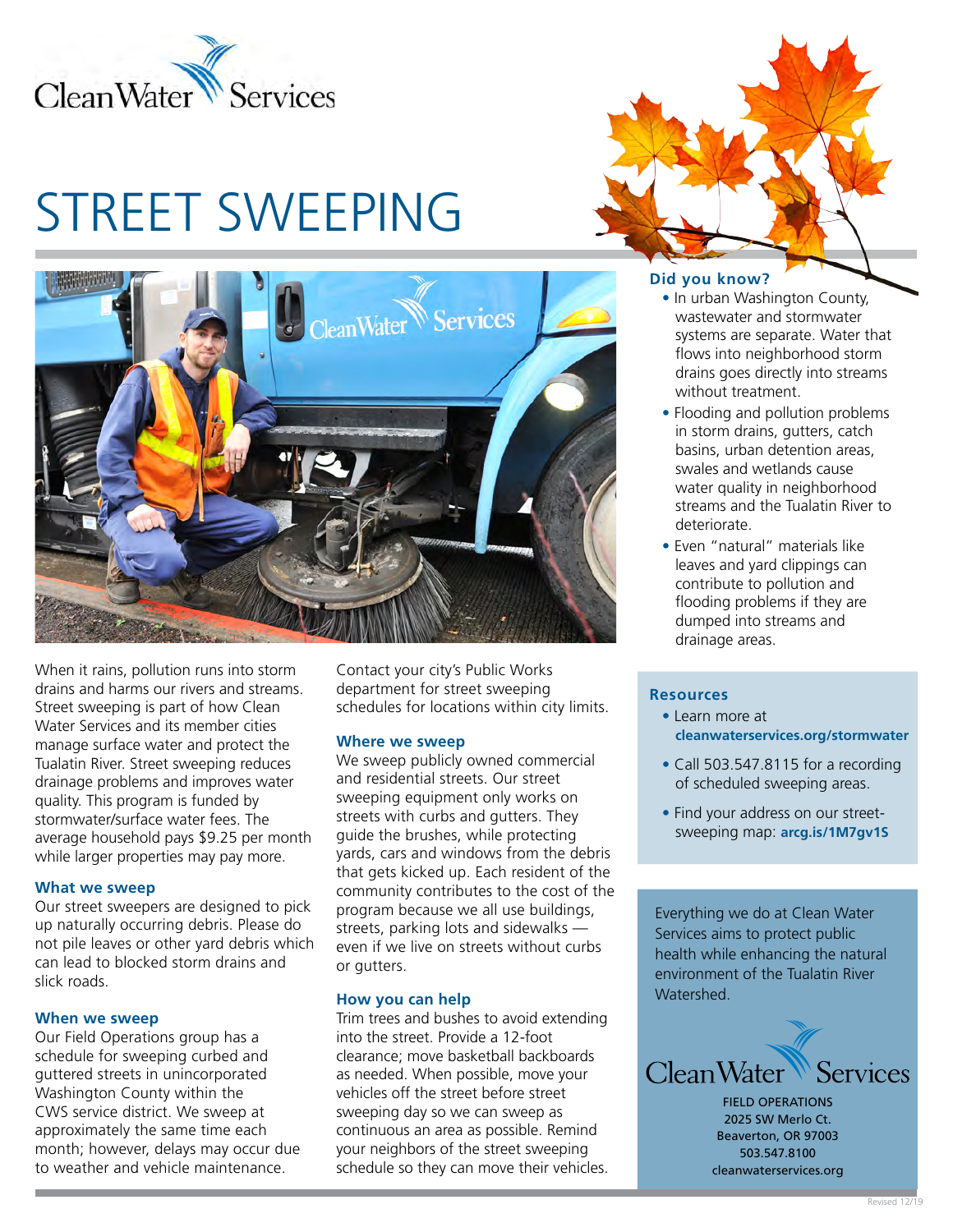

# STREET SWEEPING



When it rains, pollution runs into storm drains and harms our rivers and streams. Street sweeping is part of how Clean Water Services and its member cities manage surface water and protect the Tualatin River. Street sweeping reduces drainage problems and improves water quality. This program is funded by stormwater/surface water fees. The average household pays \$9.25 per month while larger properties may pay more.

#### **What we sweep**

Our street sweepers are designed to pick up naturally occurring debris. Please do not pile leaves or other yard debris which can lead to blocked storm drains and slick roads.

#### **When we sweep**

Our Field Operations group has a schedule for sweeping curbed and guttered streets in unincorporated Washington County within the CWS service district. We sweep at approximately the same time each month; however, delays may occur due to weather and vehicle maintenance.

Contact your city's Public Works department for street sweeping schedules for locations within city limits.

#### **Where we sweep**

We sweep publicly owned commercial and residential streets. Our street sweeping equipment only works on streets with curbs and gutters. They guide the brushes, while protecting yards, cars and windows from the debris that gets kicked up. Each resident of the community contributes to the cost of the program because we all use buildings, streets, parking lots and sidewalks even if we live on streets without curbs or gutters.

#### **How you can help**

Trim trees and bushes to avoid extending into the street. Provide a 12-foot clearance; move basketball backboards as needed. When possible, move your vehicles off the street before street sweeping day so we can sweep as continuous an area as possible. Remind your neighbors of the street sweeping schedule so they can move their vehicles.

### **Did you know?**

- In urban Washington County, wastewater and stormwater systems are separate. Water that flows into neighborhood storm drains goes directly into streams without treatment.
- Flooding and pollution problems in storm drains, gutters, catch basins, urban detention areas, swales and wetlands cause water quality in neighborhood streams and the Tualatin River to deteriorate.
- Even "natural" materials like leaves and yard clippings can contribute to pollution and flooding problems if they are dumped into streams and drainage areas.

#### **Resources**

- Learn more at **[cleanwaterservices.org/stormwater](http://cleanwaterservices.org/stormwater)**
- Call 503.547.8115 for a recording of scheduled sweeping areas.
- Find your address on our streetsweeping map: **[arcg.is/1M7gv1S](http://arcg.is/1M7gv1S)**

Everything we do at Clean Water Services aims to protect public health while enhancing the natural environment of the Tualatin River Watershed.



FIELD OPERATIONS 2025 SW Merlo Ct. Beaverton, OR 97003 503.547.8100 cleanwaterservices.org